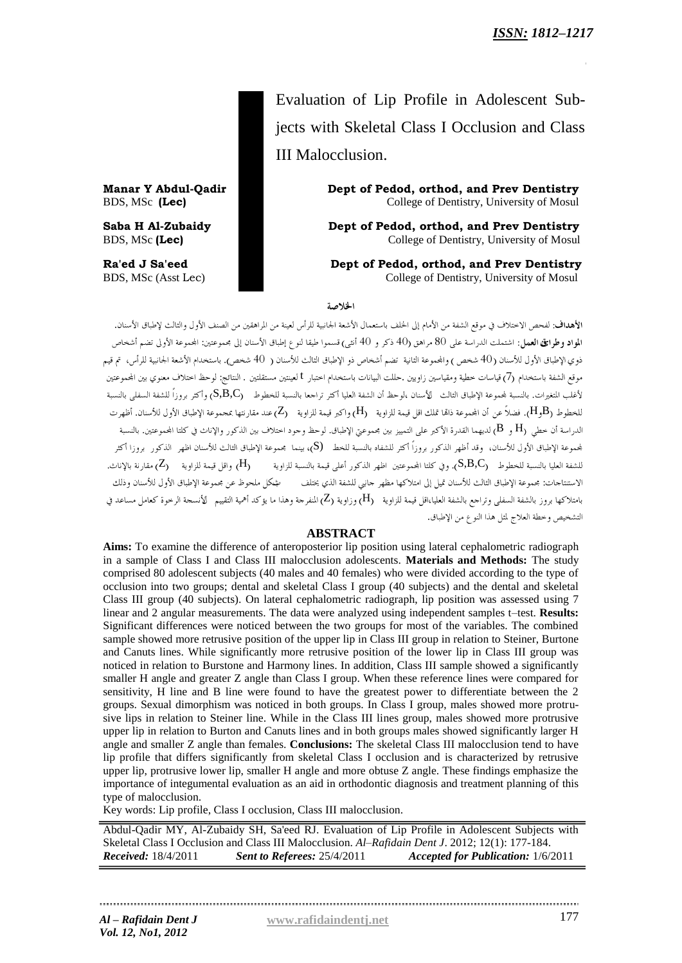Evaluation of Lip Profile in Adolescent Subjects with Skeletal Class I Occlusion and Class III Malocclusion.

**Manar Y Abdul-Qadir Dept of Pedod, orthod, and Prev Dentistry** BDS, MSc (Lec) College of Dentistry, University of Mosul

**Saba H Al-Zubaidy Dept of Pedod, orthod, and Prev Dentistry** BDS, MSc (Lec) **College of Dentistry, University of Mosul** 

**Ra'ed J Sa'eed Dept of Pedod, orthod, and Prev Dentistry** BDS, MSc (Asst Lec) College of Dentistry, University of Mosul

الخلاصة

الأهداف: لفحص الاختلاف في موقع الشفة من الأمام إلى الخلف باستعمال الأشعة الجانبية للرأس لعينة من المراهقين من الصنف الأول والثالث لإطباق الأسنان. ا**لمواد وطرائق العمل**: اشتملت الدراسة على 80 مراهق (40 ذكر و 40 أنثى) قسموا طيقا لنوع إطباق الأسنان إلى مجموعتين: المجموعة الأولى تضم أشخاص .<br>ذوى الإطباق الأول للأسنان (40 شخص) والمجموعة الثانية تضم أشخاص ذو الإطباق الثالث للأسنان ( 40 شخص). باستخدام الأشعة الجانبية للرأس، تم قيم موقع الشفة باستخدام (7) قياسات خطية ومقياسين زاويين .حللت البيانات باستخدام اختبار t لعينتين مستقلتين . النتائج: لوحظ اختلاف معنوي بين المحموعتين لأغلب المتغيرات. بالنسبة لمجموعة الإطباق الثالث لأسنان ،لوحظ أن الشفة العليا أكثر تراجعا بالنسبة للخطوط (S,B,C) وأكثر بروزاً للشفة السفلي بالنسبة للخطوط (H3B). فضلاً عن أن المجموعة ذاتما تملك اقل قيمة للزاوية (H) واكبر قيمة للزاوية (Z) عند مقارنتها بمجموعة الإطباق الأول للأسنان. أظهرت الدراسة أن حطى  $\rm H_2$  و  $\rm B$  لديهما القدرة الأكبر على التمييز بين مجموعتي الإطباق. لوحظ وجود اختلاف بين الذكور والإناث في كلتا المحموعتين. بالنسبة لجموعة الإطباق الأول للأسنان، وقد أظهر الذكور بروزاً أكثر للشفاه بالنسبة للخط (S)، بينما مجموعة الإطباق الثالث للأسنان اظهر الذكور بروزا أكثر للشفة العليا بالنسبة للخطوط S,B,C). وفي كلتا المجموعتين اظهر الذكور أعلى قيمة بالنسبة للزاوية (H) واقل قيمة للزاوية (Z) مقارنة بالإناث. الاستنتاجات: مجموعة الإطباق الثالث للأسنان تميل إلى امتلاكها مظهر جانبي للشفة الذي يختلف مشكل ملحوظ عن مجموعة الإطباق الأول للأسنان وذلك بامتلاكها بروز بالشفة السفلي وتراجع بالشفة العليا،اقل قيمة للزاوية (H) وزاوية (Z) المنفرجة وهذا ما يؤكد أهمية التقييم الأنسجة الرحوة كعامل مساعد في التشخيص وخطة العلاج لمثل هذا النوع من الإطباق.

## **ABSTRACT**

**Aims:** To examine the difference of anteroposterior lip position using lateral cephalometric radiograph in a sample of Class I and Class III malocclusion adolescents. **Materials and Methods:** The study comprised 80 adolescent subjects (40 males and 40 females) who were divided according to the type of occlusion into two groups; dental and skeletal Class I group (40 subjects) and the dental and skeletal Class III group (40 subjects). On lateral cephalometric radiograph, lip position was assessed using 7 linear and 2 angular measurements. The data were analyzed using independent samples t–test. **Results:** Significant differences were noticed between the two groups for most of the variables. The combined sample showed more retrusive position of the upper lip in Class III group in relation to Steiner, Burtone and Canuts lines. While significantly more retrusive position of the lower lip in Class III group was noticed in relation to Burstone and Harmony lines. In addition, Class III sample showed a significantly smaller H angle and greater Z angle than Class I group. When these reference lines were compared for sensitivity, H line and B line were found to have the greatest power to differentiate between the 2 groups. Sexual dimorphism was noticed in both groups. In Class I group, males showed more protrusive lips in relation to Steiner line. While in the Class III lines group, males showed more protrusive upper lip in relation to Burton and Canuts lines and in both groups males showed significantly larger H angle and smaller Z angle than females. **Conclusions:** The skeletal Class III malocclusion tend to have lip profile that differs significantly from skeletal Class I occlusion and is characterized by retrusive upper lip, protrusive lower lip, smaller H angle and more obtuse Z angle. These findings emphasize the importance of integumental evaluation as an aid in orthodontic diagnosis and treatment planning of this type of malocclusion.

Key words: Lip profile, Class I occlusion, Class III malocclusion.

Abdul-Qadir MY, Al-Zubaidy SH, Sa'eed RJ. Evaluation of Lip Profile in Adolescent Subjects with Skeletal Class I Occlusion and Class III Malocclusion. *Al–Rafidain Dent J*. 2012; 12(1): 177-184. *Received:* 18/4/2011 *Sent to Referees:* 25/4/2011 *Accepted for Publication:* 1/6/2011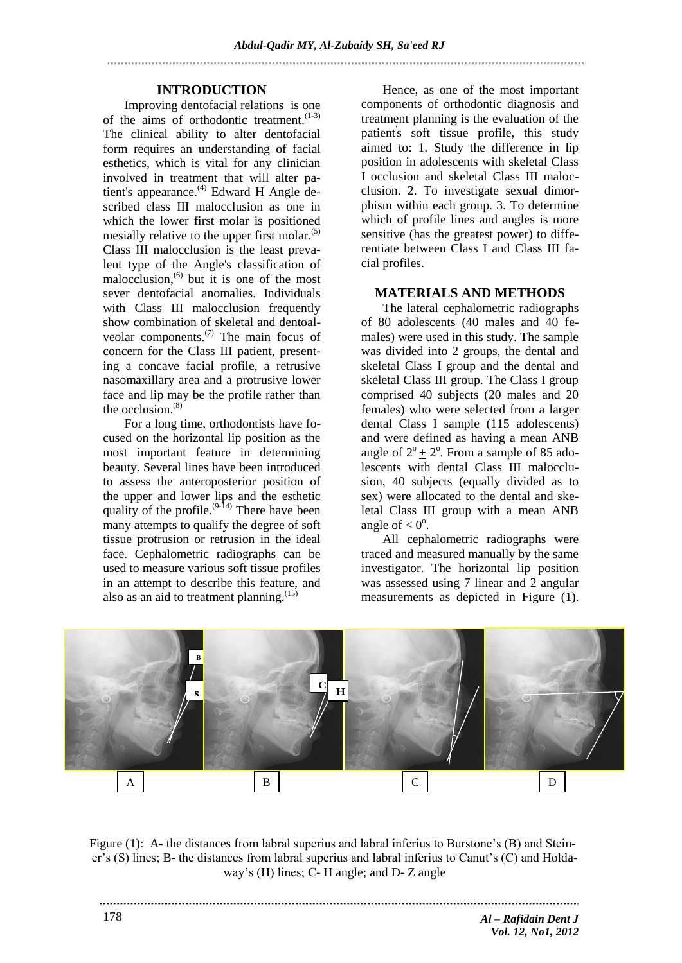## **INTRODUCTION**

Improving dentofacial relations is one of the aims of orthodontic treatment.<sup>(1-3)</sup> The clinical ability to alter dentofacial form requires an understanding of facial esthetics, which is vital for any clinician involved in treatment that will alter patient's appearance.<sup>(4)</sup> Edward H Angle described class III malocclusion as one in which the lower first molar is positioned mesially relative to the upper first molar.<sup>(5)</sup> Class III malocclusion is the least prevalent type of the Angle's classification of malocclusion, (6) but it is one of the most sever dentofacial anomalies. Individuals with Class III malocclusion frequently show combination of skeletal and dentoalveolar components. $^{(7)}$  The main focus of concern for the Class III patient, presenting a concave facial profile, a retrusive nasomaxillary area and a protrusive lower face and lip may be the profile rather than the occlusion. (8)

For a long time, orthodontists have focused on the horizontal lip position as the most important feature in determining beauty. Several lines have been introduced to assess the anteroposterior position of the upper and lower lips and the esthetic quality of the profile.  $(9-14)$  There have been many attempts to qualify the degree of soft tissue protrusion or retrusion in the ideal face. Cephalometric radiographs can be used to measure various soft tissue profiles in an attempt to describe this feature, and also as an aid to treatment planning.<sup>(15)</sup>

Hence, as one of the most important components of orthodontic diagnosis and treatment planning is the evaluation of the patients soft tissue profile, this study aimed to: 1. Study the difference in lip position in adolescents with skeletal Class I occlusion and skeletal Class III malocclusion. 2. To investigate sexual dimorphism within each group. 3. To determine which of profile lines and angles is more sensitive (has the greatest power) to differentiate between Class I and Class III facial profiles.

## **MATERIALS AND METHODS**

The lateral cephalometric radiographs of 80 adolescents (40 males and 40 females) were used in this study. The sample was divided into 2 groups, the dental and skeletal Class I group and the dental and skeletal Class III group. The Class I group comprised 40 subjects (20 males and 20 females) who were selected from a larger dental Class I sample (115 adolescents) and were defined as having a mean ANB angle of  $2^{\circ}$  +  $2^{\circ}$ . From a sample of 85 adolescents with dental Class III malocclusion, 40 subjects (equally divided as to sex) were allocated to the dental and skeletal Class III group with a mean ANB angle of  $< 0^\circ$ .

All cephalometric radiographs were traced and measured manually by the same investigator. The horizontal lip position was assessed using 7 linear and 2 angular measurements as depicted in Figure (1).



Figure (1): A- the distances from labral superius and labral inferius to Burstone's (B) and Steiner's (S) lines; B- the distances from labral superius and labral inferius to Canut's (C) and Holdaway's (H) lines; C- H angle; and D- Z angle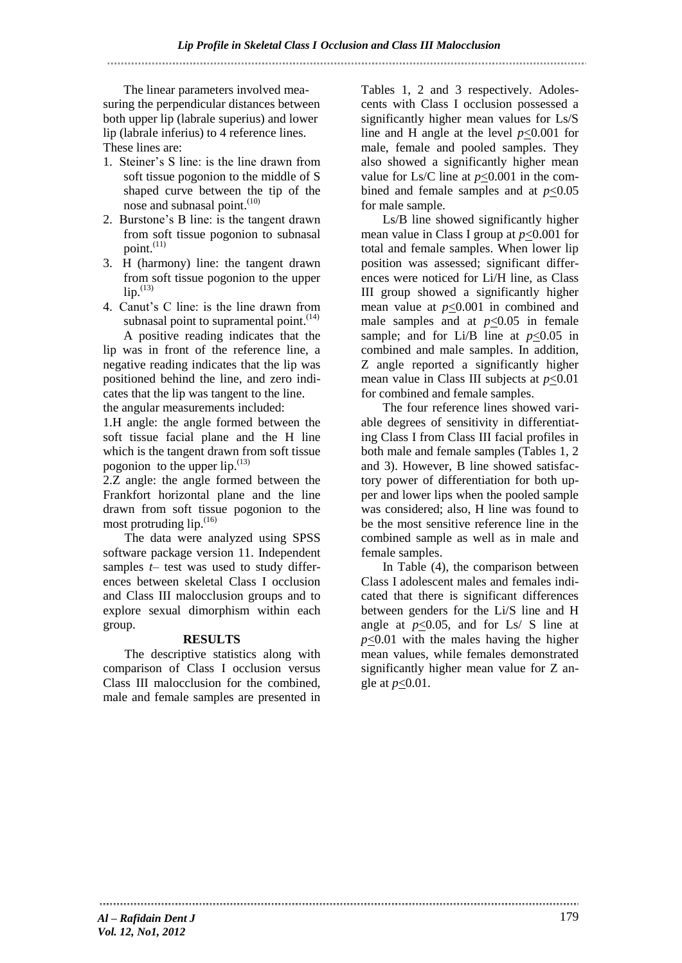## 

The linear parameters involved measuring the perpendicular distances between both upper lip (labrale superius) and lower lip (labrale inferius) to 4 reference lines. These lines are:

- 1. Steiner's S line: is the line drawn from soft tissue pogonion to the middle of S shaped curve between the tip of the nose and subnasal point.<sup>(10)</sup>
- 2. Burstone's B line: is the tangent drawn from soft tissue pogonion to subnasal point. (11)
- 3. H (harmony) line: the tangent drawn from soft tissue pogonion to the upper  $lip.$ <sup>(13)</sup>
- 4. Canut's C line: is the line drawn from subnasal point to supramental point. $(14)$

A positive reading indicates that the lip was in front of the reference line, a negative reading indicates that the lip was positioned behind the line, and zero indicates that the lip was tangent to the line. the angular measurements included:

1.H angle: the angle formed between the soft tissue facial plane and the H line which is the tangent drawn from soft tissue pogonion to the upper  $lip$ .<sup>(13)</sup>

2.Z angle: the angle formed between the Frankfort horizontal plane and the line drawn from soft tissue pogonion to the most protruding lip.<sup>(16)</sup>

The data were analyzed using SPSS software package version 11. Independent samples *t*– test was used to study differences between skeletal Class I occlusion and Class III malocclusion groups and to explore sexual dimorphism within each group.

#### **RESULTS**

The descriptive statistics along with comparison of Class I occlusion versus Class III malocclusion for the combined, male and female samples are presented in

Tables 1, 2 and 3 respectively. Adolescents with Class I occlusion possessed a significantly higher mean values for Ls/S line and H angle at the level *p*<0.001 for male, female and pooled samples. They also showed a significantly higher mean value for Ls/C line at *p*<0.001 in the combined and female samples and at  $p<0.05$ for male sample.

Ls/B line showed significantly higher mean value in Class I group at *p*<0.001 for total and female samples. When lower lip position was assessed; significant differences were noticed for Li/H line, as Class III group showed a significantly higher mean value at *p*<0.001 in combined and male samples and at  $p<0.05$  in female sample; and for Li/B line at  $p<0.05$  in combined and male samples. In addition, Z angle reported a significantly higher mean value in Class III subjects at *p*<0.01 for combined and female samples.

The four reference lines showed variable degrees of sensitivity in differentiating Class I from Class III facial profiles in both male and female samples (Tables 1, 2 and 3). However, B line showed satisfactory power of differentiation for both upper and lower lips when the pooled sample was considered; also, H line was found to be the most sensitive reference line in the combined sample as well as in male and female samples.

In Table (4), the comparison between Class I adolescent males and females indicated that there is significant differences between genders for the Li/S line and H angle at  $p<0.05$ , and for Ls/ S line at *p*<0.01 with the males having the higher mean values, while females demonstrated significantly higher mean value for Z angle at *p*<0.01.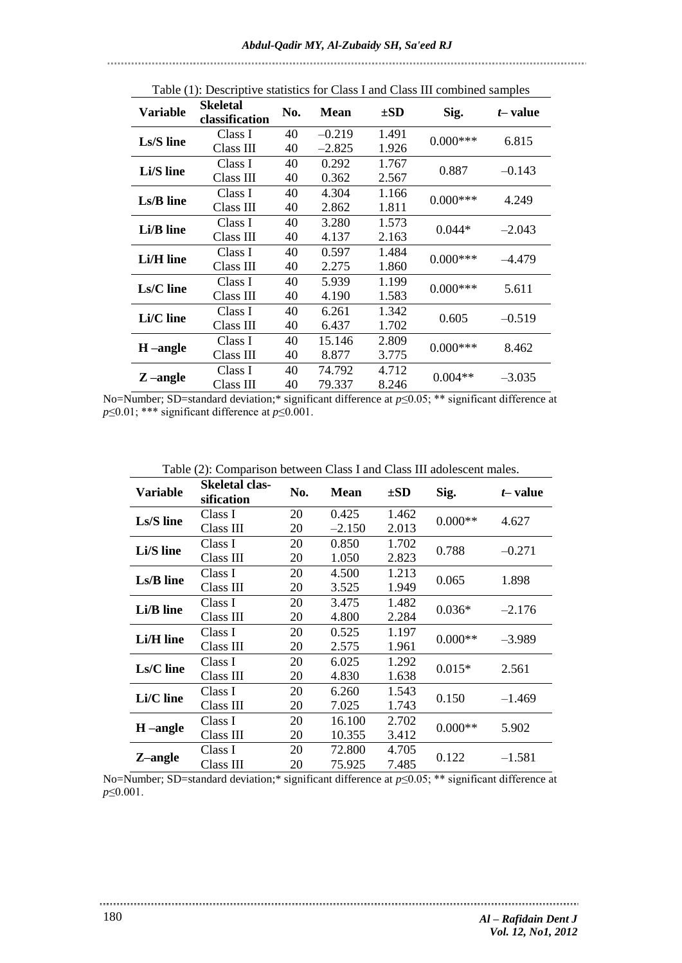| Table (1): Descriptive statistics for Class I and Class III combined samples |                                   |     |             |          |             |          |
|------------------------------------------------------------------------------|-----------------------------------|-----|-------------|----------|-------------|----------|
| <b>Variable</b>                                                              | <b>Skeletal</b><br>classification | No. | <b>Mean</b> | $\pm SD$ | Sig.        | t-value  |
| Ls/S line                                                                    | Class I                           | 40  | $-0.219$    | 1.491    | $0.000$ *** | 6.815    |
|                                                                              | Class III                         | 40  | $-2.825$    | 1.926    |             |          |
| Li/S line                                                                    | Class I                           | 40  | 0.292       | 1.767    | 0.887       | $-0.143$ |
|                                                                              | Class III                         | 40  | 0.362       | 2.567    |             |          |
| Ls/B line                                                                    | Class I                           | 40  | 4.304       | 1.166    | $0.000***$  | 4.249    |
|                                                                              | Class III                         | 40  | 2.862       | 1.811    |             |          |
| Li/B line                                                                    | Class I                           | 40  | 3.280       | 1.573    | $0.044*$    | $-2.043$ |
|                                                                              | Class III                         | 40  | 4.137       | 2.163    |             |          |
| Li/H line                                                                    | Class I                           | 40  | 0.597       | 1.484    | $0.000***$  | $-4.479$ |
|                                                                              | Class III                         | 40  | 2.275       | 1.860    |             |          |
| Ls/C line                                                                    | Class I                           | 40  | 5.939       | 1.199    | $0.000***$  | 5.611    |
|                                                                              | Class III                         | 40  | 4.190       | 1.583    |             |          |
| Li/C line                                                                    | Class I                           | 40  | 6.261       | 1.342    | 0.605       | $-0.519$ |
|                                                                              | Class III                         | 40  | 6.437       | 1.702    |             |          |
| $H$ –angle                                                                   | Class I                           | 40  | 15.146      | 2.809    | $0.000***$  | 8.462    |
|                                                                              | Class III                         | 40  | 8.877       | 3.775    |             |          |
| Z-angle                                                                      | Class I                           | 40  | 74.792      | 4.712    | $0.004**$   | $-3.035$ |
|                                                                              | Class III                         | 40  | 79.337      | 8.246    |             |          |

No=Number; SD=standard deviation;\* significant difference at *p*≤0.05; \*\* significant difference at *p*≤0.01; \*\*\* significant difference at *p*≤0.001.

| <b>Variable</b> | <b>Skeletal clas-</b><br>sification | No. | <b>Mean</b> | $\pm SD$ | Sig.      | t-value  |
|-----------------|-------------------------------------|-----|-------------|----------|-----------|----------|
| Ls/S line       | Class I                             | 20  | 0.425       | 1.462    | $0.000**$ | 4.627    |
|                 | Class III                           | 20  | $-2.150$    | 2.013    |           |          |
| Li/S line       | Class I                             | 20  | 0.850       | 1.702    | 0.788     | $-0.271$ |
|                 | Class III                           | 20  | 1.050       | 2.823    |           |          |
| Ls/B line       | Class I                             | 20  | 4.500       | 1.213    | 0.065     | 1.898    |
|                 | Class III                           | 20  | 3.525       | 1.949    |           |          |
| Li/B line       | Class I                             | 20  | 3.475       | 1.482    | $0.036*$  | $-2.176$ |
|                 | Class III                           | 20  | 4.800       | 2.284    |           |          |
| Li/H line       | Class I                             | 20  | 0.525       | 1.197    | $0.000**$ | $-3.989$ |
|                 | Class III                           | 20  | 2.575       | 1.961    |           |          |
| Ls/C line       | Class I                             | 20  | 6.025       | 1.292    | $0.015*$  | 2.561    |
|                 | Class III                           | 20  | 4.830       | 1.638    |           |          |
| Li/C line       | Class I                             | 20  | 6.260       | 1.543    | 0.150     | $-1.469$ |
|                 | Class III                           | 20  | 7.025       | 1.743    |           |          |
| H-angle         | Class I                             | 20  | 16.100      | 2.702    | $0.000**$ | 5.902    |
|                 | Class III                           | 20  | 10.355      | 3.412    |           |          |
|                 | Class I                             | 20  | 72.800      | 4.705    | 0.122     | $-1.581$ |
| Z-angle         | Class III                           | 20  | 75.925      | 7.485    |           |          |

No=Number; SD=standard deviation;\* significant difference at *p*≤0.05; \*\* significant difference at *p*≤0.001.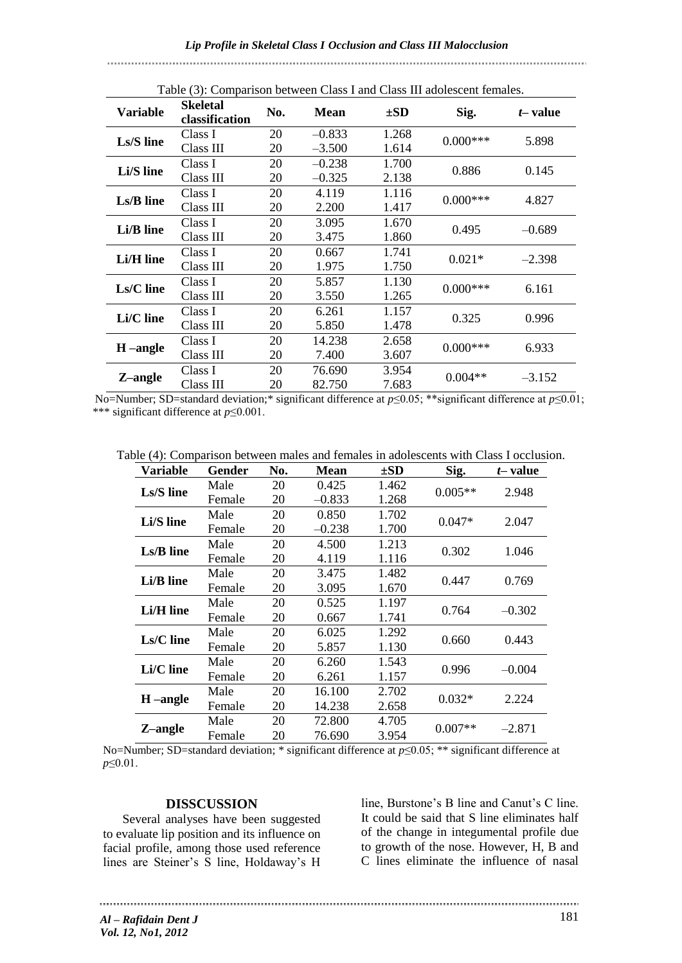| Table (3): Comparison between Class I and Class III adolescent remales. |                                   |     |             |          |             |           |  |
|-------------------------------------------------------------------------|-----------------------------------|-----|-------------|----------|-------------|-----------|--|
| <b>Variable</b>                                                         | <b>Skeletal</b><br>classification | No. | <b>Mean</b> | $\pm SD$ | Sig.        | $t$ value |  |
| Ls/S line                                                               | Class I                           | 20  | $-0.833$    | 1.268    | $0.000***$  | 5.898     |  |
|                                                                         | Class III                         | 20  | $-3.500$    | 1.614    |             |           |  |
| Li/S line                                                               | Class I                           | 20  | $-0.238$    | 1.700    | 0.886       | 0.145     |  |
|                                                                         | Class III                         | 20  | $-0.325$    | 2.138    |             |           |  |
|                                                                         | Class I                           | 20  | 4.119       | 1.116    | $0.000***$  | 4.827     |  |
| Ls/B line                                                               | Class III                         | 20  | 2.200       | 1.417    |             |           |  |
|                                                                         | Class I                           | 20  | 3.095       | 1.670    | 0.495       | $-0.689$  |  |
| Li/B line                                                               | Class III                         | 20  | 3.475       | 1.860    |             |           |  |
|                                                                         | Class I                           | 20  | 0.667       | 1.741    | $0.021*$    | $-2.398$  |  |
| Li/H line                                                               | Class III                         | 20  | 1.975       | 1.750    |             |           |  |
| Ls/C line                                                               | Class I                           | 20  | 5.857       | 1.130    | $0.000***$  | 6.161     |  |
|                                                                         | Class III                         | 20  | 3.550       | 1.265    |             |           |  |
| Li/C line                                                               | Class I                           | 20  | 6.261       | 1.157    | 0.325       | 0.996     |  |
|                                                                         | Class III                         | 20  | 5.850       | 1.478    |             |           |  |
| H-angle                                                                 | Class I                           | 20  | 14.238      | 2.658    | $0.000$ *** | 6.933     |  |
|                                                                         | Class III                         | 20  | 7.400       | 3.607    |             |           |  |
| Z-angle                                                                 | Class I                           | 20  | 76.690      | 3.954    | $0.004**$   | $-3.152$  |  |
|                                                                         | Class III                         | 20  | 82.750      | 7.683    |             |           |  |

Table (3): Comparison between Class I and Class III adolescent females.

No=Number; SD=standard deviation;\* significant difference at *p*≤0.05; \*\*significant difference at *p*≤0.01; \*\*\* significant difference at *p*≤0.001.

Table (4): Comparison between males and females in adolescents with Class I occlusion.

| <b>Variable</b> | Gender | No. | Mean     | $\pm SD$ | Sig.      | <i>t</i> – value |
|-----------------|--------|-----|----------|----------|-----------|------------------|
| Ls/S line       | Male   | 20  | 0.425    | 1.462    | $0.005**$ | 2.948            |
|                 | Female | 20  | $-0.833$ | 1.268    |           |                  |
| Li/S line       | Male   | 20  | 0.850    | 1.702    | $0.047*$  | 2.047            |
|                 | Female | 20  | $-0.238$ | 1.700    |           |                  |
| Ls/B line       | Male   | 20  | 4.500    | 1.213    | 0.302     | 1.046            |
|                 | Female | 20  | 4.119    | 1.116    |           |                  |
| Li/B line       | Male   | 20  | 3.475    | 1.482    |           | 0.769            |
|                 | Female | 20  | 3.095    | 1.670    | 0.447     |                  |
| Li/H line       | Male   | 20  | 0.525    | 1.197    | 0.764     | $-0.302$         |
|                 | Female | 20  | 0.667    | 1.741    |           |                  |
| Ls/C line       | Male   | 20  | 6.025    | 1.292    | 0.660     | 0.443            |
|                 | Female | 20  | 5.857    | 1.130    |           |                  |
| Li/C line       | Male   | 20  | 6.260    | 1.543    | 0.996     | $-0.004$         |
|                 | Female | 20  | 6.261    | 1.157    |           |                  |
| $H$ –angle      | Male   | 20  | 16.100   | 2.702    | $0.032*$  | 2.224            |
|                 | Female | 20  | 14.238   | 2.658    |           |                  |
| Z-angle         | Male   | 20  | 72.800   | 4.705    | $0.007**$ | $-2.871$         |
|                 | Female | 20  | 76.690   | 3.954    |           |                  |

No=Number; SD=standard deviation; \* significant difference at *p*≤0.05; \*\* significant difference at *p*≤0.01.

#### **DISSCUSSION**

Several analyses have been suggested to evaluate lip position and its influence on facial profile, among those used reference lines are Steiner's S line, Holdaway's H

line, Burstone's B line and Canut's C line. It could be said that S line eliminates half of the change in integumental profile due to growth of the nose. However, H, B and C lines eliminate the influence of nasal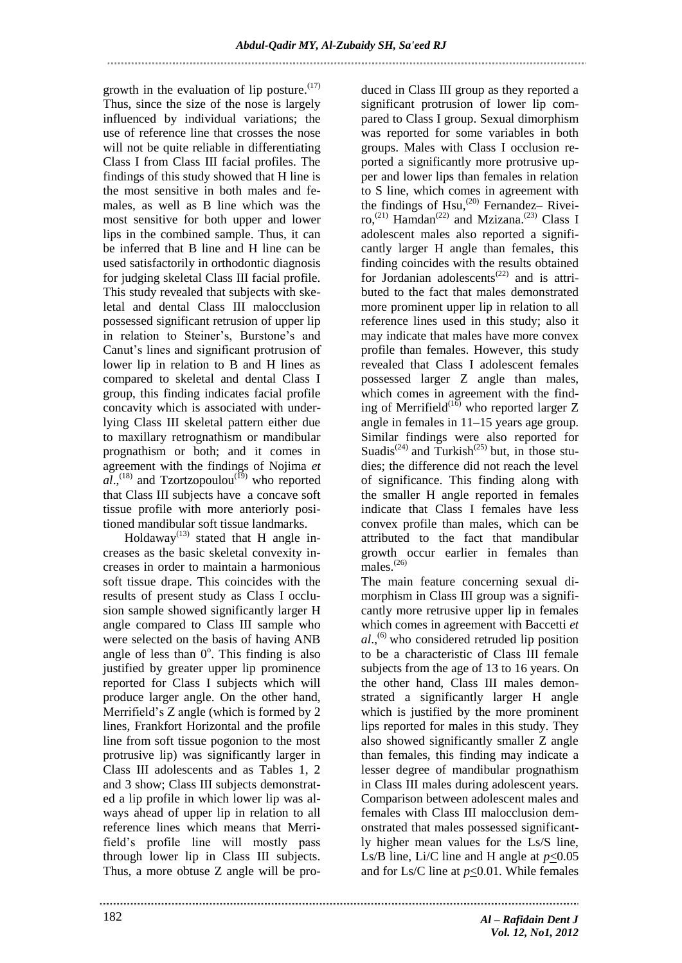growth in the evaluation of lip posture. $(17)$ Thus, since the size of the nose is largely influenced by individual variations; the use of reference line that crosses the nose will not be quite reliable in differentiating Class I from Class III facial profiles. The findings of this study showed that H line is the most sensitive in both males and females, as well as B line which was the most sensitive for both upper and lower lips in the combined sample. Thus, it can be inferred that B line and H line can be used satisfactorily in orthodontic diagnosis for judging skeletal Class III facial profile. This study revealed that subjects with skeletal and dental Class III malocclusion possessed significant retrusion of upper lip in relation to Steiner's, Burstone's and Canut's lines and significant protrusion of lower lip in relation to B and H lines as compared to skeletal and dental Class I group, this finding indicates facial profile concavity which is associated with underlying Class III skeletal pattern either due to maxillary retrognathism or mandibular prognathism or both; and it comes in agreement with the findings of Nojima *et*   $aI$ <sup>(18)</sup> and Tzortzopoulou<sup>(19)</sup> who reported that Class III subjects have a concave soft tissue profile with more anteriorly positioned mandibular soft tissue landmarks.

Holdaway<sup>(13)</sup> stated that H angle increases as the basic skeletal convexity increases in order to maintain a harmonious soft tissue drape. This coincides with the results of present study as Class I occlusion sample showed significantly larger H angle compared to Class III sample who were selected on the basis of having ANB angle of less than  $0^\circ$ . This finding is also justified by greater upper lip prominence reported for Class I subjects which will produce larger angle. On the other hand, Merrifield's Z angle (which is formed by 2 lines, Frankfort Horizontal and the profile line from soft tissue pogonion to the most protrusive lip) was significantly larger in Class III adolescents and as Tables 1, 2 and 3 show; Class III subjects demonstrated a lip profile in which lower lip was always ahead of upper lip in relation to all reference lines which means that Merrifield's profile line will mostly pass through lower lip in Class III subjects. Thus, a more obtuse Z angle will be pro-

duced in Class III group as they reported a significant protrusion of lower lip compared to Class I group. Sexual dimorphism was reported for some variables in both groups. Males with Class I occlusion reported a significantly more protrusive upper and lower lips than females in relation to S line, which comes in agreement with the findings of  $Hsu$ ,<sup>(20)</sup> Fernandez- Riveiro,<sup>(21)</sup> Hamdan<sup>(22)</sup> and Mzizana.<sup>(23)</sup> Class I adolescent males also reported a significantly larger H angle than females, this finding coincides with the results obtained for Jordanian adolescents<sup> $(22)$ </sup> and is attributed to the fact that males demonstrated more prominent upper lip in relation to all reference lines used in this study; also it may indicate that males have more convex profile than females. However, this study revealed that Class I adolescent females possessed larger Z angle than males, which comes in agreement with the finding of Merrifield<sup> $(16)$ </sup> who reported larger Z angle in females in 11–15 years age group. Similar findings were also reported for Suadis<sup>(24)</sup> and Turkish<sup>(25)</sup> but, in those studies; the difference did not reach the level of significance. This finding along with the smaller H angle reported in females indicate that Class I females have less convex profile than males, which can be attributed to the fact that mandibular growth occur earlier in females than males. (26)

The main feature concerning sexual dimorphism in Class III group was a significantly more retrusive upper lip in females which comes in agreement with Baccetti *et al*., (6) who considered retruded lip position to be a characteristic of Class III female subjects from the age of 13 to 16 years. On the other hand, Class III males demonstrated a significantly larger H angle which is justified by the more prominent lips reported for males in this study. They also showed significantly smaller Z angle than females, this finding may indicate a lesser degree of mandibular prognathism in Class III males during adolescent years. Comparison between adolescent males and females with Class III malocclusion demonstrated that males possessed significantly higher mean values for the Ls/S line, Ls/B line, Li/C line and H angle at  $p<0.05$ and for Ls/C line at *p*<0.01. While females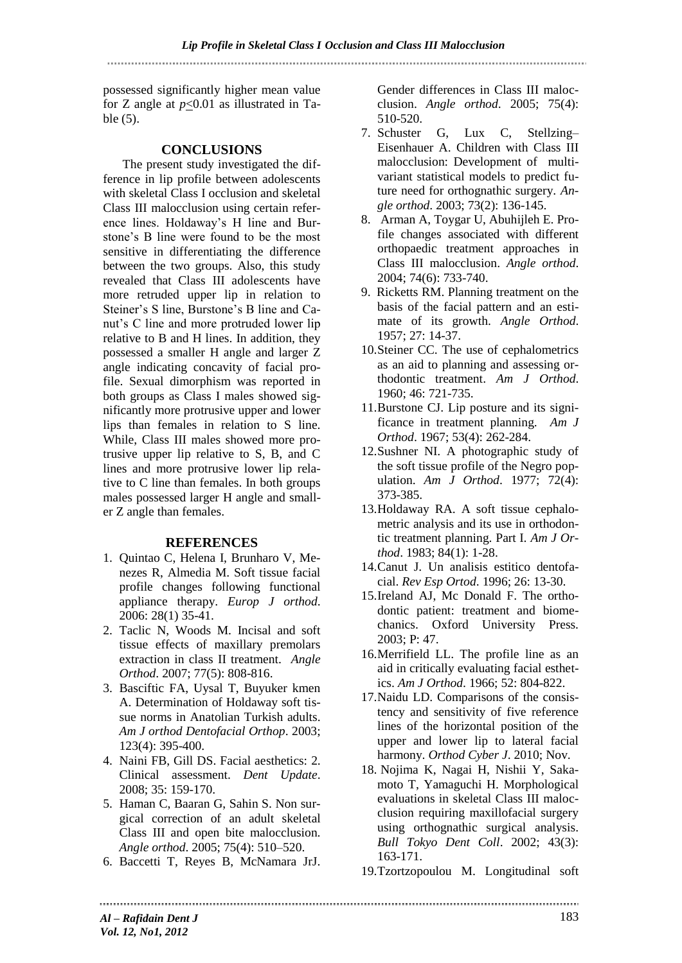possessed significantly higher mean value for Z angle at *p*<0.01 as illustrated in Table (5).

# **CONCLUSIONS**

The present study investigated the difference in lip profile between adolescents with skeletal Class I occlusion and skeletal Class III malocclusion using certain reference lines. Holdaway's H line and Burstone's B line were found to be the most sensitive in differentiating the difference between the two groups. Also, this study revealed that Class III adolescents have more retruded upper lip in relation to Steiner's S line, Burstone's B line and Canut's C line and more protruded lower lip relative to B and H lines. In addition, they possessed a smaller H angle and larger Z angle indicating concavity of facial profile. Sexual dimorphism was reported in both groups as Class I males showed significantly more protrusive upper and lower lips than females in relation to S line. While, Class III males showed more protrusive upper lip relative to S, B, and C lines and more protrusive lower lip relative to C line than females. In both groups males possessed larger H angle and smaller Z angle than females.

# **REFERENCES**

- 1. Quintao C, Helena I, Brunharo V, Menezes R, Almedia M. Soft tissue facial profile changes following functional appliance therapy. *Europ J orthod*. 2006: 28(1) 35-41.
- 2. Taclic N, Woods M. Incisal and soft tissue effects of maxillary premolars extraction in class II treatment. *Angle Orthod*. 2007; 77(5): 808-816.
- 3. Basciftic FA, Uysal T, Buyuker kmen A. Determination of Holdaway soft tissue norms in Anatolian Turkish adults. *Am J orthod Dentofacial Orthop*. 2003; 123(4): 395-400.
- 4. Naini FB, Gill DS. Facial aesthetics: 2. Clinical assessment. *Dent Update*. 2008; 35: 159-170.
- 5. Haman C, Baaran G, Sahin S. Non surgical correction of an adult skeletal Class III and open bite malocclusion. *Angle orthod*. 2005; 75(4): 510–520.
- 6. Baccetti T, Reyes B, McNamara JrJ.

Gender differences in Class III malocclusion. *Angle orthod*. 2005; 75(4): 510-520.

- 7. Schuster G, Lux C, Stellzing– Eisenhauer A. Children with Class III malocclusion: Development of multivariant statistical models to predict future need for orthognathic surgery. *Angle orthod*. 2003; 73(2): 136-145.
- 8. Arman A, Toygar U, Abuhijleh E. Profile changes associated with different orthopaedic treatment approaches in Class III malocclusion. *Angle orthod*. 2004; 74(6): 733-740.
- 9. Ricketts RM. Planning treatment on the basis of the facial pattern and an estimate of its growth. *Angle Orthod*. 1957; 27: 14-37.
- 10.Steiner CC. The use of cephalometrics as an aid to planning and assessing orthodontic treatment. *Am J Orthod*. 1960; 46: 721-735.
- 11.Burstone CJ. Lip posture and its significance in treatment planning. *Am J Orthod*. 1967; 53(4): 262-284.
- 12.Sushner NI. A photographic study of the soft tissue profile of the Negro population. *Am J Orthod*. 1977; 72(4): 373-385.
- 13.Holdaway RA. A soft tissue cephalometric analysis and its use in orthodontic treatment planning. Part I. *Am J Orthod*. 1983; 84(1): 1-28.
- 14.Canut J. Un analisis estitico dentofacial. *Rev Esp Ortod*. 1996; 26: 13-30.
- 15.Ireland AJ, Mc Donald F. The orthodontic patient: treatment and biomechanics. Oxford University Press. 2003; P: 47.
- 16.Merrifield LL. The profile line as an aid in critically evaluating facial esthetics. *Am J Orthod*. 1966; 52: 804-822.
- 17.Naidu LD. Comparisons of the consistency and sensitivity of five reference lines of the horizontal position of the upper and lower lip to lateral facial harmony. *Orthod Cyber J*. 2010; Nov.
- 18. Nojima K, Nagai H, Nishii Y, Sakamoto T, Yamaguchi H. Morphological evaluations in skeletal Class III malocclusion requiring maxillofacial surgery using orthognathic surgical analysis. *Bull Tokyo Dent Coll*. 2002; 43(3): 163-171.
- 19.Tzortzopoulou M. Longitudinal soft